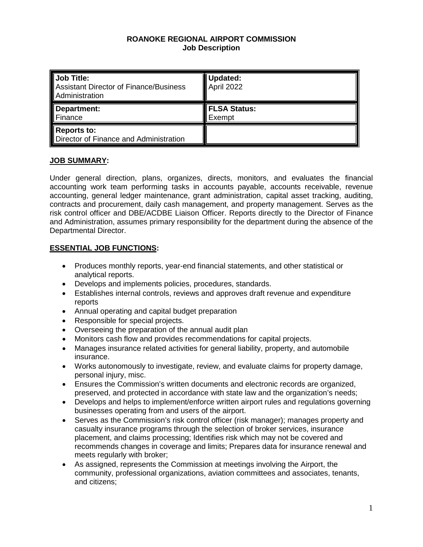#### **ROANOKE REGIONAL AIRPORT COMMISSION Job Description**

| Job Title:<br>Assistant Director of Finance/Business<br>Administration | Updated:<br>April 2022 |
|------------------------------------------------------------------------|------------------------|
| Department:<br>Finance                                                 | FLSA Status:<br>Exempt |
| Reports to:<br>Director of Finance and Administration                  |                        |

# **JOB SUMMARY:**

Under general direction, plans, organizes, directs, monitors, and evaluates the financial accounting work team performing tasks in accounts payable, accounts receivable, revenue accounting, general ledger maintenance, grant administration, capital asset tracking, auditing, contracts and procurement, daily cash management, and property management. Serves as the risk control officer and DBE/ACDBE Liaison Officer. Reports directly to the Director of Finance and Administration, assumes primary responsibility for the department during the absence of the Departmental Director.

# **ESSENTIAL JOB FUNCTIONS:**

- Produces monthly reports, year-end financial statements, and other statistical or analytical reports.
- Develops and implements policies, procedures, standards.
- Establishes internal controls, reviews and approves draft revenue and expenditure reports
- Annual operating and capital budget preparation
- Responsible for special projects.
- Overseeing the preparation of the annual audit plan
- Monitors cash flow and provides recommendations for capital projects.
- Manages insurance related activities for general liability, property, and automobile insurance.
- Works autonomously to investigate, review, and evaluate claims for property damage, personal injury, misc.
- Ensures the Commission's written documents and electronic records are organized, preserved, and protected in accordance with state law and the organization's needs;
- Develops and helps to implement/enforce written airport rules and regulations governing businesses operating from and users of the airport.
- Serves as the Commission's risk control officer (risk manager); manages property and casualty insurance programs through the selection of broker services, insurance placement, and claims processing; Identifies risk which may not be covered and recommends changes in coverage and limits; Prepares data for insurance renewal and meets regularly with broker;
- As assigned, represents the Commission at meetings involving the Airport, the community, professional organizations, aviation committees and associates, tenants, and citizens;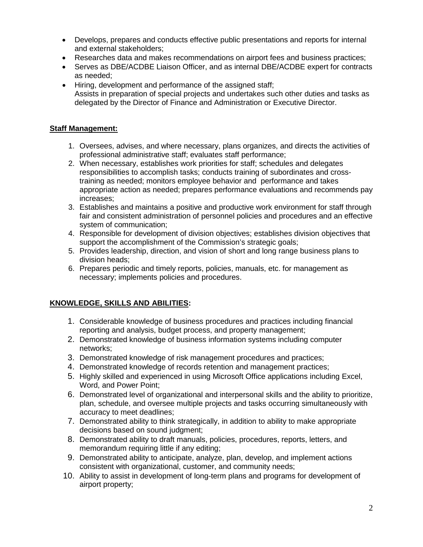- Develops, prepares and conducts effective public presentations and reports for internal and external stakeholders;
- Researches data and makes recommendations on airport fees and business practices;
- Serves as DBE/ACDBE Liaison Officer, and as internal DBE/ACDBE expert for contracts as needed;
- Hiring, development and performance of the assigned staff; Assists in preparation of special projects and undertakes such other duties and tasks as delegated by the Director of Finance and Administration or Executive Director.

# **Staff Management:**

- 1. Oversees, advises, and where necessary, plans organizes, and directs the activities of professional administrative staff; evaluates staff performance;
- 2. When necessary, establishes work priorities for staff; schedules and delegates responsibilities to accomplish tasks; conducts training of subordinates and crosstraining as needed; monitors employee behavior and performance and takes appropriate action as needed; prepares performance evaluations and recommends pay increases;
- 3. Establishes and maintains a positive and productive work environment for staff through fair and consistent administration of personnel policies and procedures and an effective system of communication;
- 4. Responsible for development of division objectives; establishes division objectives that support the accomplishment of the Commission's strategic goals;
- 5. Provides leadership, direction, and vision of short and long range business plans to division heads;
- 6. Prepares periodic and timely reports, policies, manuals, etc. for management as necessary; implements policies and procedures.

# **KNOWLEDGE, SKILLS AND ABILITIES:**

- 1. Considerable knowledge of business procedures and practices including financial reporting and analysis, budget process, and property management;
- 2. Demonstrated knowledge of business information systems including computer networks;
- 3. Demonstrated knowledge of risk management procedures and practices;
- 4. Demonstrated knowledge of records retention and management practices;
- 5. Highly skilled and experienced in using Microsoft Office applications including Excel, Word, and Power Point;
- 6. Demonstrated level of organizational and interpersonal skills and the ability to prioritize, plan, schedule, and oversee multiple projects and tasks occurring simultaneously with accuracy to meet deadlines;
- 7. Demonstrated ability to think strategically, in addition to ability to make appropriate decisions based on sound judgment;
- 8. Demonstrated ability to draft manuals, policies, procedures, reports, letters, and memorandum requiring little if any editing;
- 9. Demonstrated ability to anticipate, analyze, plan, develop, and implement actions consistent with organizational, customer, and community needs;
- 10. Ability to assist in development of long-term plans and programs for development of airport property;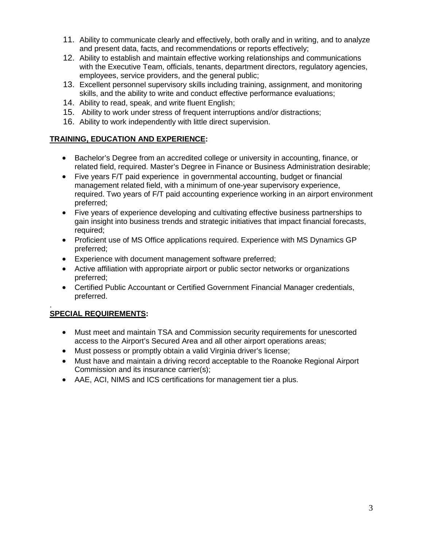- 11. Ability to communicate clearly and effectively, both orally and in writing, and to analyze and present data, facts, and recommendations or reports effectively;
- 12. Ability to establish and maintain effective working relationships and communications with the Executive Team, officials, tenants, department directors, regulatory agencies, employees, service providers, and the general public;
- 13. Excellent personnel supervisory skills including training, assignment, and monitoring skills, and the ability to write and conduct effective performance evaluations;
- 14. Ability to read, speak, and write fluent English;
- 15. Ability to work under stress of frequent interruptions and/or distractions;
- 16. Ability to work independently with little direct supervision.

# **TRAINING, EDUCATION AND EXPERIENCE:**

- Bachelor's Degree from an accredited college or university in accounting, finance, or related field, required. Master's Degree in Finance or Business Administration desirable;
- Five years F/T paid experience in governmental accounting, budget or financial management related field, with a minimum of one-year supervisory experience, required. Two years of F/T paid accounting experience working in an airport environment preferred;
- Five years of experience developing and cultivating effective business partnerships to gain insight into business trends and strategic initiatives that impact financial forecasts, required;
- Proficient use of MS Office applications required. Experience with MS Dynamics GP preferred;
- Experience with document management software preferred;
- Active affiliation with appropriate airport or public sector networks or organizations preferred;
- Certified Public Accountant or Certified Government Financial Manager credentials, preferred.

#### . **SPECIAL REQUIREMENTS:**

- Must meet and maintain TSA and Commission security requirements for unescorted access to the Airport's Secured Area and all other airport operations areas;
- Must possess or promptly obtain a valid Virginia driver's license;
- Must have and maintain a driving record acceptable to the Roanoke Regional Airport Commission and its insurance carrier(s);
- AAE, ACI, NIMS and ICS certifications for management tier a plus.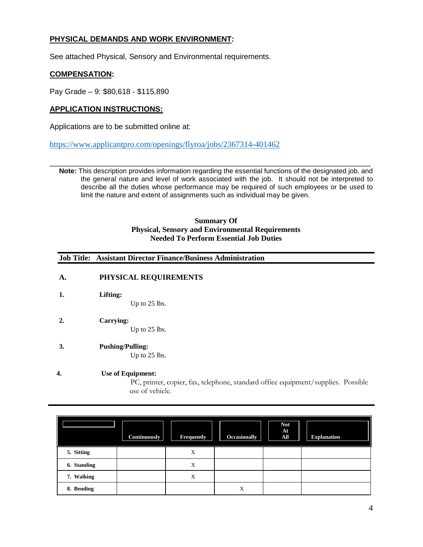# **PHYSICAL DEMANDS AND WORK ENVIRONMENT:**

See attached Physical, Sensory and Environmental requirements.

### **COMPENSATION:**

Pay Grade – 9: \$80,618 - \$115,890

### **APPLICATION INSTRUCTIONS:**

Applications are to be submitted online at:

<https://www.applicantpro.com/openings/flyroa/jobs/2367314-401462>

\_\_\_\_\_\_\_\_\_\_\_\_\_\_\_\_\_\_\_\_\_\_\_\_\_\_\_\_\_\_\_\_\_\_\_\_\_\_\_\_\_\_\_\_\_\_\_\_\_\_\_\_\_\_\_\_\_\_\_\_\_\_\_\_\_\_\_\_\_\_\_\_\_\_\_\_ **Note:** This description provides information regarding the essential functions of the designated job, and the general nature and level of work associated with the job. It should not be interpreted to describe all the duties whose performance may be required of such employees or be used to limit the nature and extent of assignments such as individual may be given.

#### **Summary Of Physical, Sensory and Environmental Requirements Needed To Perform Essential Job Duties**

#### **Job Title: Assistant Director Finance/Business Administration**

### **A. PHYSICAL REQUIREMENTS**

**1. Lifting:**

Up to 25 lbs.

**2. Carrying:**

Up to 25 lbs.

**3. Pushing/Pulling:**

Up to 25 lbs.

#### **4. Use of Equipment:**

PC, printer, copier, fax, telephone, standard office equipment/supplies. Possible use of vehicle.

|             | <b>Continuously</b> | <b>Frequently</b> | Occasionally | <b>Not</b><br>At<br>All | <b>Explanation</b> |
|-------------|---------------------|-------------------|--------------|-------------------------|--------------------|
| 5. Sitting  |                     | X                 |              |                         |                    |
| 6. Standing |                     | X                 |              |                         |                    |
| 7. Walking  |                     | X                 |              |                         |                    |
| 8. Bending  |                     |                   | X            |                         |                    |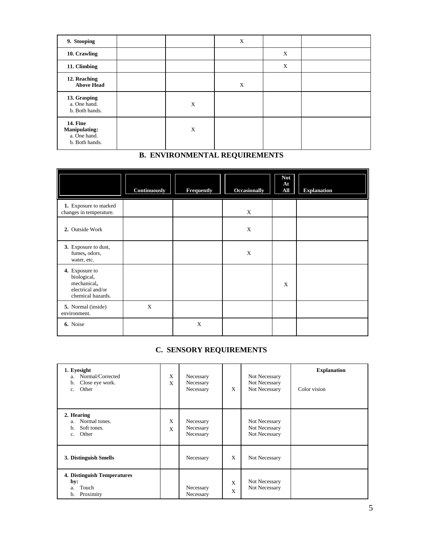| 9. Stooping                                                               |             | $\mathbf X$ |             |  |
|---------------------------------------------------------------------------|-------------|-------------|-------------|--|
| 10. Crawling                                                              |             |             | $\mathbf X$ |  |
| 11. Climbing                                                              |             |             | $\mathbf X$ |  |
| 12. Reaching<br><b>Above Head</b>                                         |             | X           |             |  |
| 13. Grasping<br>a. One hand.<br>b. Both hands.                            | $\mathbf X$ |             |             |  |
| <b>14. Fine</b><br><b>Manipulating:</b><br>a. One hand.<br>b. Both hands. | $\mathbf X$ |             |             |  |

# **B. ENVIRONMENTAL REQUIREMENTS**

|                                                                                        | Continuously | Frequently | <b>Occasionally</b> | <b>Not</b><br>At<br>All | <b>Explanation</b> |
|----------------------------------------------------------------------------------------|--------------|------------|---------------------|-------------------------|--------------------|
| 1. Exposure to marked<br>changes in temperature.                                       |              |            | $\mathbf X$         |                         |                    |
| 2. Outside Work                                                                        |              |            | $\mathbf X$         |                         |                    |
| 3. Exposure to dust,<br>fumes, odors,<br>water, etc.                                   |              |            | $\mathbf X$         |                         |                    |
| 4. Exposure to<br>biological,<br>mechanical,<br>electrical and/or<br>chemical hazards. |              |            |                     | X                       |                    |
| 5. Normal (inside)<br>environment.                                                     | $\mathbf X$  |            |                     |                         |                    |
| 6. Noise                                                                               |              | X          |                     |                         |                    |

# **C. SENSORY REQUIREMENTS**

| 1. Eyesight<br>Normal/Corrected<br>a.<br>Close eye work.<br>b.<br>Other<br>c.  | X<br>X | Necessary<br>Necessary<br>Necessary | X                 | Not Necessary<br>Not Necessary<br>Not Necessary | <b>Explanation</b><br>Color vision |
|--------------------------------------------------------------------------------|--------|-------------------------------------|-------------------|-------------------------------------------------|------------------------------------|
| 2. Hearing<br>a. Normal tones.<br>Soft tones.<br>b.<br>Other<br>$\mathbf{c}$ . | X<br>X | Necessary<br>Necessary<br>Necessary |                   | Not Necessary<br>Not Necessary<br>Not Necessary |                                    |
| 3. Distinguish Smells                                                          |        | Necessary                           | X                 | Not Necessary                                   |                                    |
| 4. Distinguish Temperatures<br>by:<br>Touch<br>a.<br>Proximity<br>b.           |        | Necessary<br>Necessary              | X<br>$\mathbf{x}$ | Not Necessary<br>Not Necessary                  |                                    |